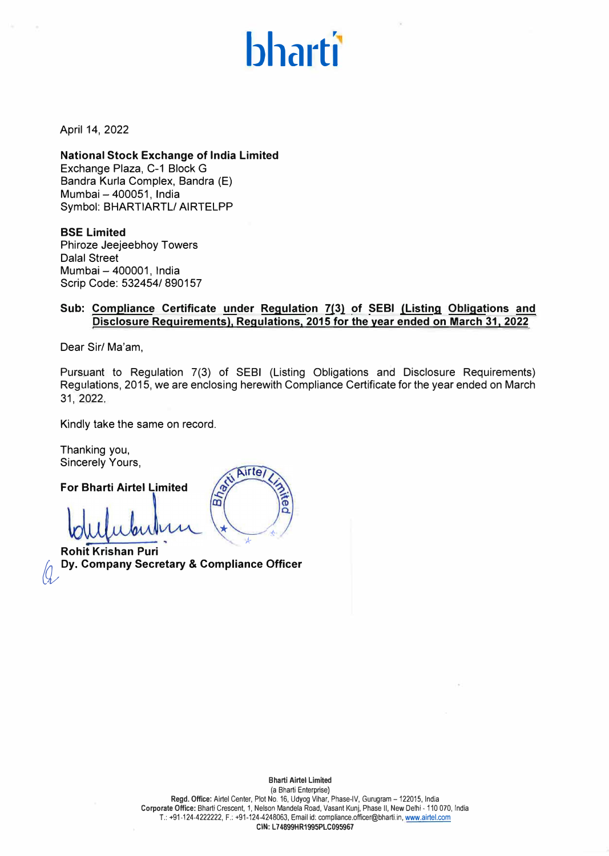## **bharti**

April 14, 2022

**National Stock Exchange of India Limited** Exchange Plaza, C-1 Block G Bandra Kurla Complex, Bandra (E) Mumbai - 400051, India Symbol: BHARTIARTL/ AIRTELPP

**BSE Limited** Phiroze Jeejeebhoy Towers Dalal Street Mumbai - 400001, India Scrip Code: 532454/ 890157

## **Sub: Compliance Certificate under Regulation 7(3) of SEBI (Listing Obligations and Disclosure Requirements), Regulations, 2015 for the year ended on March 31, 2022**

Dear Sir/ Ma'am,

Pursuant to Regulation 7(3) of SEBI (Listing Obligations and Disclosure Requirements) Regulations, 2015, we are enclosing herewith Compliance Certificate for the year ended on March 31, 2022.

**Airte** 

q

,, *\**

ౚ

Kindly take the same on record.

Thanking you, Sincerely Yours,

**For Bharti Airtel Limited**

lar<br>0 *k* 

**Rohit Krishan Puri � Dy. Company Secretary & Compliance Officer**

**Bharti Airtel Limited**